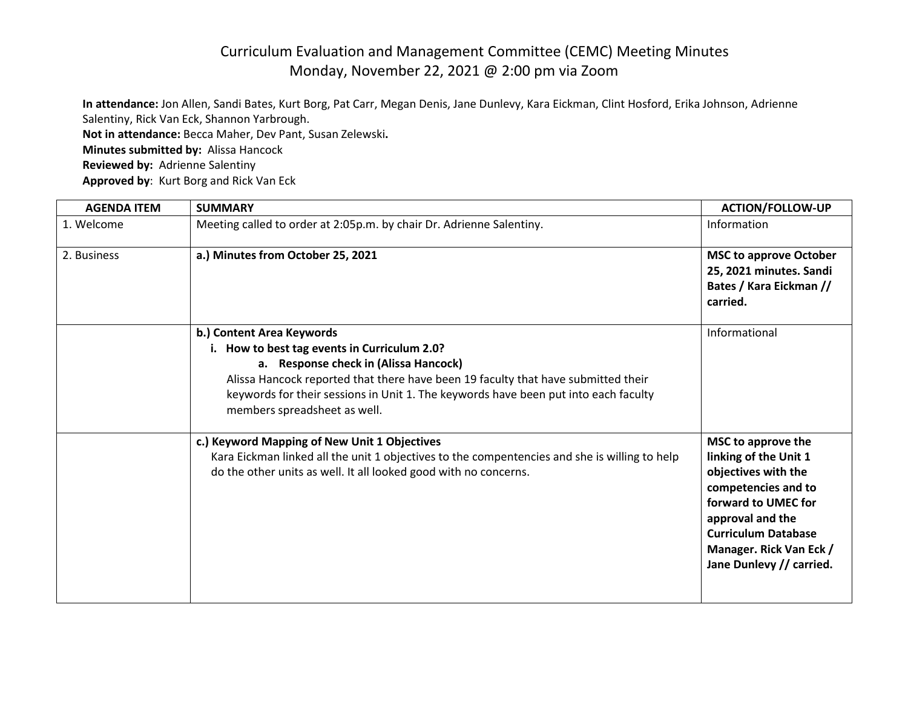## Curriculum Evaluation and Management Committee (CEMC) Meeting Minutes Monday, November 22, 2021 @ 2:00 pm via Zoom

**In attendance:** Jon Allen, Sandi Bates, Kurt Borg, Pat Carr, Megan Denis, Jane Dunlevy, Kara Eickman, Clint Hosford, Erika Johnson, Adrienne Salentiny, Rick Van Eck, Shannon Yarbrough. **Not in attendance:** Becca Maher, Dev Pant, Susan Zelewski**. Minutes submitted by:** Alissa Hancock **Reviewed by:** Adrienne Salentiny **Approved by**: Kurt Borg and Rick Van Eck

| <b>AGENDA ITEM</b> | <b>SUMMARY</b>                                                                                                                                                                                                                                                                                                                 | <b>ACTION/FOLLOW-UP</b>                                                                                                                                                                                                   |
|--------------------|--------------------------------------------------------------------------------------------------------------------------------------------------------------------------------------------------------------------------------------------------------------------------------------------------------------------------------|---------------------------------------------------------------------------------------------------------------------------------------------------------------------------------------------------------------------------|
| 1. Welcome         | Meeting called to order at 2:05p.m. by chair Dr. Adrienne Salentiny.                                                                                                                                                                                                                                                           | Information                                                                                                                                                                                                               |
| 2. Business        | a.) Minutes from October 25, 2021                                                                                                                                                                                                                                                                                              | <b>MSC to approve October</b><br>25, 2021 minutes. Sandi<br>Bates / Kara Eickman //<br>carried.                                                                                                                           |
|                    | b.) Content Area Keywords<br>i. How to best tag events in Curriculum 2.0?<br>a. Response check in (Alissa Hancock)<br>Alissa Hancock reported that there have been 19 faculty that have submitted their<br>keywords for their sessions in Unit 1. The keywords have been put into each faculty<br>members spreadsheet as well. | Informational                                                                                                                                                                                                             |
|                    | c.) Keyword Mapping of New Unit 1 Objectives<br>Kara Eickman linked all the unit 1 objectives to the compentencies and she is willing to help<br>do the other units as well. It all looked good with no concerns.                                                                                                              | MSC to approve the<br>linking of the Unit 1<br>objectives with the<br>competencies and to<br>forward to UMEC for<br>approval and the<br><b>Curriculum Database</b><br>Manager. Rick Van Eck /<br>Jane Dunlevy // carried. |